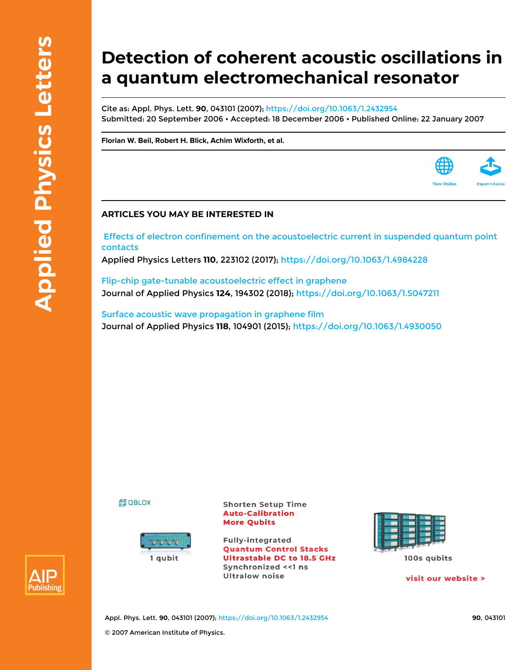# **Detection of coherent acoustic oscillations in a quantum electromechanical resonator**

Cite as: Appl. Phys. Lett. **90**, 043101 (2007); <https://doi.org/10.1063/1.2432954> Submitted: 20 September 2006 • Accepted: 18 December 2006 • Published Online: 22 January 2007

**[Florian W. Beil,](https://aip.scitation.org/author/Beil%2C+Florian+W) [Robert H. Blick](https://aip.scitation.org/author/Blick%2C+Robert+H), [Achim Wixforth,](https://aip.scitation.org/author/Wixforth%2C+Achim) et al.**

### **ARTICLES YOU MAY BE INTERESTED IN**

 [Effects of electron confinement on the acoustoelectric current in suspended quantum point](https://aip.scitation.org/doi/10.1063/1.4984228) [contacts](https://aip.scitation.org/doi/10.1063/1.4984228)

Applied Physics Letters **110**, 223102 (2017);<https://doi.org/10.1063/1.4984228>

[Flip-chip gate-tunable acoustoelectric effect in graphene](https://aip.scitation.org/doi/10.1063/1.5047211) Journal of Applied Physics **124**, 194302 (2018);<https://doi.org/10.1063/1.5047211>

[Surface acoustic wave propagation in graphene film](https://aip.scitation.org/doi/10.1063/1.4930050) Journal of Applied Physics **118**, 104901 (2015);<https://doi.org/10.1063/1.4930050>

**印 QBLOX** 



**Shorten Setup Time Auto-Calibration More Qubits** 

**Fully-integrated Quantum Control Stacks Ultrastable DC to 18.5 GHz** Synchronized << 1 ns **Ultralow noise** 



visit our website >

**View Online** 



Appl. Phys. Lett. **90**, 043101 (2007);<https://doi.org/10.1063/1.2432954> **90**, 043101 © 2007 American Institute of Physics.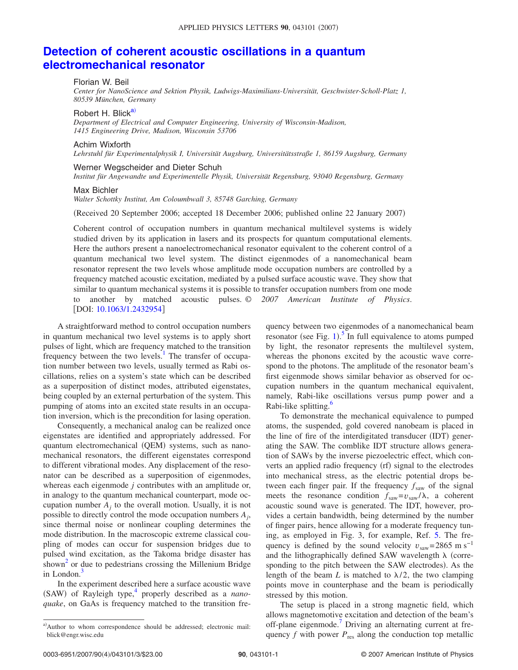## **[Detection of coherent acoustic oscillations in a quantum](http://dx.doi.org/10.1063/1.2432954) [electromechanical resonator](http://dx.doi.org/10.1063/1.2432954)**

#### Florian W. Beil

*Center for NanoScience and Sektion Physik, Ludwigs-Maximilians-Universität, Geschwister-Scholl-Platz 1, 80539 München, Germany*

#### Robert H. Blick<sup>a)</sup>

*Department of Electrical and Computer Engineering, University of Wisconsin-Madison, 1415 Engineering Drive, Madison, Wisconsin 53706*

#### Achim Wixforth

*Lehrstuhl für Experimentalphysik I, Universität Augsburg, Universitätsstraße 1, 86159 Augsburg, Germany*

#### Werner Wegscheider and Dieter Schuh

*Institut für Angewandte und Experimentelle Physik, Universität Regensburg, 93040 Regensburg, Germany*

#### Max Bichler

*Walter Schottky Institut, Am Coloumbwall 3, 85748 Garching, Germany*

Received 20 September 2006; accepted 18 December 2006; published online 22 January 2007-

Coherent control of occupation numbers in quantum mechanical multilevel systems is widely studied driven by its application in lasers and its prospects for quantum computational elements. Here the authors present a nanoelectromechanical resonator equivalent to the coherent control of a quantum mechanical two level system. The distinct eigenmodes of a nanomechanical beam resonator represent the two levels whose amplitude mode occupation numbers are controlled by a frequency matched acoustic excitation, mediated by a pulsed surface acoustic wave. They show that similar to quantum mechanical systems it is possible to transfer occupation numbers from one mode to another by matched acoustic pulses. © *2007 American Institute of Physics*. [DOI: [10.1063/1.2432954](http://dx.doi.org/10.1063/1.2432954)]

A straightforward method to control occupation numbers in quantum mechanical two level systems is to apply short pulses of light, which are frequency matched to the transition frequency between the two levels.<sup>1</sup> The transfer of occupation number between two levels, usually termed as Rabi oscillations, relies on a system's state which can be described as a superposition of distinct modes, attributed eigenstates, being coupled by an external perturbation of the system. This pumping of atoms into an excited state results in an occupation inversion, which is the precondition for lasing operation.

Consequently, a mechanical analog can be realized once eigenstates are identified and appropriately addressed. For quantum electromechanical (QEM) systems, such as nanomechanical resonators, the different eigenstates correspond to different vibrational modes. Any displacement of the resonator can be described as a superposition of eigenmodes, whereas each eigenmode *j* contributes with an amplitude or, in analogy to the quantum mechanical counterpart, mode occupation number  $A_i$  to the overall motion. Usually, it is not possible to directly control the mode occupation numbers *Aj*, since thermal noise or nonlinear coupling determines the mode distribution. In the macroscopic extreme classical coupling of modes can occur for suspension bridges due to pulsed wind excitation, as the Takoma bridge disaster has shown<sup>2</sup> or due to pedestrians crossing the Millenium Bridge in London. $\overline{\phantom{a}}$ 

<span id="page-1-0"></span>In the experiment described here a surface acoustic wave (SAW) of Rayleigh type,<sup>4</sup> properly described as a *nanoquake*, on GaAs is frequency matched to the transition frequency between two eigenmodes of a nanomechanical beam resonator (see Fig.  $1$ ).<sup>[5](#page-3-3)</sup> In full equivalence to atoms pumped by light, the resonator represents the multilevel system, whereas the phonons excited by the acoustic wave correspond to the photons. The amplitude of the resonator beam's first eigenmode shows similar behavior as observed for occupation numbers in the quantum mechanical equivalent, namely, Rabi-like oscillations versus pump power and a Rabi-like splitting.<sup>6</sup>

To demonstrate the mechanical equivalence to pumped atoms, the suspended, gold covered nanobeam is placed in the line of fire of the interdigitated transducer (IDT) generating the SAW. The comblike IDT structure allows generation of SAWs by the inverse piezoelectric effect, which converts an applied radio frequency (rf) signal to the electrodes into mechanical stress, as the electric potential drops between each finger pair. If the frequency  $f_{\text{saw}}$  of the signal meets the resonance condition  $f_{\text{sav}}=v_{\text{sav}}/\lambda$ , a coherent acoustic sound wave is generated. The IDT, however, provides a certain bandwidth, being determined by the number of finger pairs, hence allowing for a moderate frequency tuning, as employed in Fig. 3, for example, Ref. [5.](#page-3-3) The frequency is defined by the sound velocity  $v_{\text{ssw}}$ =2865 m s<sup>-1</sup> and the lithographically defined SAW wavelength  $\lambda$  (corresponding to the pitch between the SAW electrodes). As the length of the beam *L* is matched to  $\lambda/2$ , the two clamping points move in counterphase and the beam is periodically stressed by this motion.

The setup is placed in a strong magnetic field, which allows magnetomotive excitation and detection of the beam's off-plane eigenmode.<sup>7</sup> Driving an alternating current at frequency  $f$  with power  $P_{res}$  along the conduction top metallic

a) Author to whom correspondence should be addressed; electronic mail: blick@engr.wisc.edu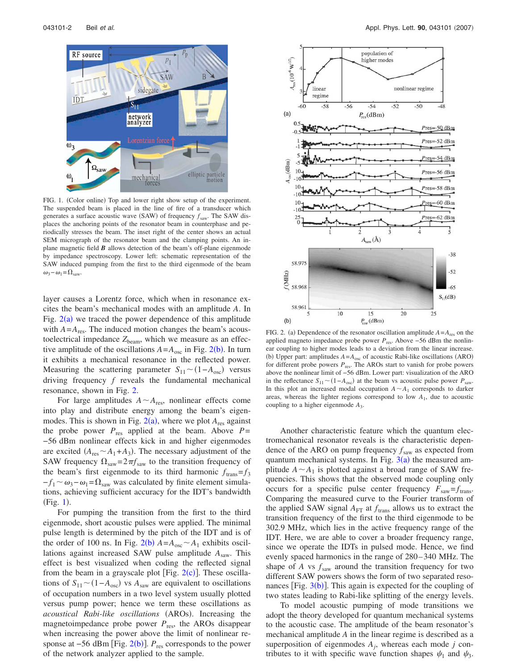<span id="page-2-0"></span>

FIG. 1. (Color online) Top and lower right show setup of the experiment. The suspended beam is placed in the line of fire of a transducer which generates a surface acoustic wave (SAW) of frequency  $f_{\text{saw}}$ . The SAW displaces the anchoring points of the resonator beam in counterphase and periodically stresses the beam. The inset right of the center shows an actual SEM micrograph of the resonator beam and the clamping points. An inplane magnetic field *B* allows detection of the beam's off-plane eigenmode by impedance spectroscopy. Lower left: schematic representation of the SAW induced pumping from the first to the third eigenmode of the beam  $\omega_3 - \omega_1 = \Omega_{\text{saw}}.$ 

layer causes a Lorentz force, which when in resonance excites the beam's mechanical modes with an amplitude *A*. In Fig.  $2(a)$  $2(a)$  we traced the power dependence of this amplitude with  $A = A_{res}$ . The induced motion changes the beam's acoustoelectrical impedance  $Z_{\text{beam}}$ , which we measure as an effective amplitude of the oscillations  $A = A_{osc}$  in Fig. 2([b](#page-2-1)). In turn it exhibits a mechanical resonance in the reflected power. Measuring the scattering parameter  $S_{11} \sim (1 - A_{\text{osc}})$  versus driving frequency *f* reveals the fundamental mechanical resonance, shown in Fig. [2.](#page-2-1)

For large amplitudes  $A \sim A_{\text{res}}$ , nonlinear effects come into play and distribute energy among the beam's eigenmodes. This is shown in Fig.  $2(a)$  $2(a)$ , where we plot  $A_{res}$  against the probe power  $P_{res}$  applied at the beam. Above  $P=$ −56 dBm nonlinear effects kick in and higher eigenmodes are excited  $(A_{res} \sim A_1 + A_3)$ . The necessary adjustment of the SAW frequency  $\Omega_{\text{sav}} = 2\pi f_{\text{sav}}$  to the transition frequency of the beam's first eigenmode to its third harmonic  $f_{trans} = f_3$  $-f_1 \sim \omega_3 - \omega_1 = \Omega_{\text{saw}}$  was calculated by finite element simulations, achieving sufficient accuracy for the IDT's bandwidth  $(Fig. 1)$  $(Fig. 1)$  $(Fig. 1)$ .

For pumping the transition from the first to the third eigenmode, short acoustic pulses were applied. The minimal pulse length is determined by the pitch of the IDT and is of the order of 100 ns. In Fig.  $2(b)$  $2(b)$   $A = A_{osc} \sim A_1$  exhibits oscillations against increased SAW pulse amplitude *A*saw. This effect is best visualized when coding the reflected signal from the beam in a grayscale plot [Fig.  $2(c)$  $2(c)$ ]. These oscillations of  $S_{11} \sim (1 - A_{\text{osc}})$  vs  $A_{\text{sav}}$  are equivalent to oscillations of occupation numbers in a two level system usually plotted versus pump power; hence we term these oscillations as acoustical Rabi-like oscillations (AROs). Increasing the magnetoimpedance probe power  $P_{\text{res}}$ , the AROs disappear when increasing the power above the limit of nonlinear re-sponse at –56 dBm [Fig. [2](#page-2-1)(b)]. *P*<sub>res</sub> corresponds to the power of the network analyzer applied to the sample.

<span id="page-2-1"></span>

FIG. 2. (a) Dependence of the resonator oscillation amplitude  $A = A_{res}$  on the applied magneto impedance probe power *P*res. Above −56 dBm the nonlinear coupling to higher modes leads to a deviation from the linear increase. (b) Upper part: amplitudes  $A = A_{osc}$  of acoustic Rabi-like oscillations (ARO) for different probe powers  $P_{res}$ . The AROs start to vanish for probe powers above the nonlinear limit of −56 dBm. Lower part: visualization of the ARO in the reflectance  $S_{11} \sim (1 - A_{\text{osc}})$  at the beam vs acoustic pulse power  $P_{\text{sav}}$ . In this plot an increased modal occupation  $A \sim A_1$  corresponds to darker areas, whereas the lighter regions correspond to low  $A_1$ , due to acoustic coupling to a higher eigenmode *A*3.

Another characteristic feature which the quantum electromechanical resonator reveals is the characteristic dependence of the ARO on pump frequency  $f_{\text{sav}}$  as expected from quantum mechanical systems. In Fig.  $3(a)$  $3(a)$  the measured amplitude  $A \sim A_1$  is plotted against a broad range of SAW frequencies. This shows that the observed mode coupling only occurs for a specific pulse center frequency  $F_{\text{saw}} = f_{\text{trans}}$ . Comparing the measured curve to the Fourier transform of the applied SAW signal  $A_{\text{FT}}$  at  $f_{\text{trans}}$  allows us to extract the transition frequency of the first to the third eigenmode to be 302.9 MHz, which lies in the active frequency range of the IDT. Here, we are able to cover a broader frequency range, since we operate the IDTs in pulsed mode. Hence, we find evenly spaced harmonics in the range of 280–340 MHz. The shape of  $A$  vs  $f_{\text{saw}}$  around the transition frequency for two different SAW powers shows the form of two separated resonances [Fig.  $3(b)$  $3(b)$ ]. This again is expected for the coupling of two states leading to Rabi-like splitting of the energy levels.

To model acoustic pumping of mode transitions we adopt the theory developed for quantum mechanical systems to the acoustic case. The amplitude of the beam resonator's mechanical amplitude *A* in the linear regime is described as a superposition of eigenmodes *Aj*, whereas each mode *j* contributes to it with specific wave function shapes  $\psi_1$  and  $\psi_3$ .